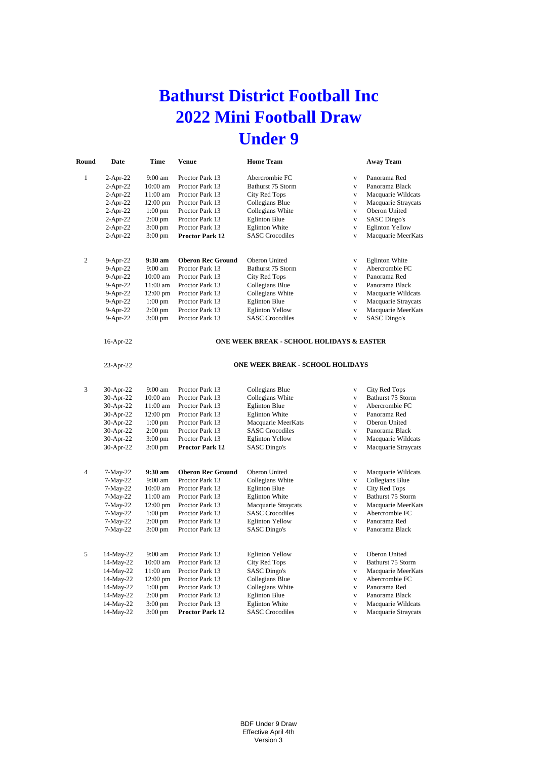## **Bathurst District Football Inc 2022 Mini Football Draw Under 9**

| Round          | Date        | Time               | <b>Venue</b>             | <b>Home Team</b>                                     |                         | <b>Away Team</b>       |
|----------------|-------------|--------------------|--------------------------|------------------------------------------------------|-------------------------|------------------------|
| $\mathbf{1}$   | $2-Apr-22$  | 9:00 am            | Proctor Park 13          | Abercrombie FC                                       | $\mathbf V$             | Panorama Red           |
|                | $2-Apr-22$  | 10:00 am           | Proctor Park 13          | Bathurst 75 Storm                                    | $\mathbf V$             | Panorama Black         |
|                | $2-Apr-22$  | 11:00 am           | Proctor Park 13          | City Red Tops                                        | $\mathbf V$             | Macquarie Wildcats     |
|                | $2-Apr-22$  | $12:00$ pm         | Proctor Park 13          | Collegians Blue                                      | $\mathbf{V}$            | Macquarie Straycats    |
|                | $2$ -Apr-22 | $1:00$ pm          | Proctor Park 13          | Collegians White                                     | $\mathbf V$             | Oberon United          |
|                | $2-Apr-22$  | $2:00 \text{ pm}$  | Proctor Park 13          | <b>Eglinton Blue</b>                                 | $\mathbf{V}$            | SASC Dingo's           |
|                | $2-Apr-22$  | $3:00$ pm          | Proctor Park 13          | <b>Eglinton White</b>                                | $\mathbf{V}$            | <b>Eglinton Yellow</b> |
|                | $2$ -Apr-22 | $3:00 \text{ pm}$  | <b>Proctor Park 12</b>   | <b>SASC</b> Crocodiles                               | $\mathbf V$             | Macquarie MeerKats     |
|                |             |                    |                          |                                                      |                         |                        |
| $\overline{c}$ | 9-Apr-22    | 9:30 am            | <b>Oberon Rec Ground</b> | Oberon United                                        | $\mathbf V$             | <b>Eglinton White</b>  |
|                | 9-Apr-22    | 9:00 am            | Proctor Park 13          | Bathurst 75 Storm                                    | $\mathbf V$             | Abercrombie FC         |
|                | 9-Apr-22    | $10:00$ am         | Proctor Park 13          | City Red Tops                                        | $\mathbf V$             | Panorama Red           |
|                | 9-Apr-22    | 11:00 am           | Proctor Park 13          | Collegians Blue                                      | $\mathbf{V}$            | Panorama Black         |
|                | 9-Apr-22    | $12:00 \text{ pm}$ | Proctor Park 13          | Collegians White                                     | $\mathbf V$             | Macquarie Wildcats     |
|                | 9-Apr-22    | $1:00$ pm          | Proctor Park 13          | <b>Eglinton Blue</b>                                 | $\mathbf{V}$            | Macquarie Straycats    |
|                | 9-Apr-22    | $2:00$ pm          | Proctor Park 13          | <b>Eglinton Yellow</b>                               | $\mathbf V$             | Macquarie MeerKats     |
|                | 9-Apr-22    | $3:00 \text{ pm}$  | Proctor Park 13          | <b>SASC</b> Crocodiles                               | $\overline{\mathbf{v}}$ | <b>SASC Dingo's</b>    |
|                | 16-Apr-22   |                    |                          | <b>ONE WEEK BREAK - SCHOOL HOLIDAYS &amp; EASTER</b> |                         |                        |
|                | 23-Apr-22   |                    |                          | <b>ONE WEEK BREAK - SCHOOL HOLIDAYS</b>              |                         |                        |
| 3              | 30-Apr-22   | 9:00 am            | Proctor Park 13          | Collegians Blue                                      | $\mathbf V$             | City Red Tops          |
|                | 30-Apr-22   | $10:00$ am         | Proctor Park 13          | Collegians White                                     | $\mathbf V$             | Bathurst 75 Storm      |
|                | 30-Apr-22   | 11:00 am           | Proctor Park 13          | <b>Eglinton Blue</b>                                 | $\mathbf{V}$            | Abercrombie FC         |
|                | 30-Apr-22   | $12:00$ pm         | Proctor Park 13          | <b>Eglinton White</b>                                | $\mathbf V$             | Panorama Red           |
|                | 30-Apr-22   | $1:00$ pm          | Proctor Park 13          | Macquarie MeerKats                                   | $\mathbf{V}$            | Oberon United          |
|                | 30-Apr-22   | $2:00$ pm          | Proctor Park 13          | <b>SASC</b> Crocodiles                               | $\mathbf{V}$            | Panorama Black         |
|                | 30-Apr-22   | $3:00 \text{ pm}$  | Proctor Park 13          | <b>Eglinton Yellow</b>                               | $\mathbf V$             | Macquarie Wildcats     |
|                | 30-Apr-22   | $3:00$ pm          | Proctor Park 12          | <b>SASC</b> Dingo's                                  | $\mathbf V$             | Macquarie Straycats    |
|                |             |                    |                          |                                                      |                         |                        |
| $\overline{4}$ | $7-May-22$  | 9:30 am            | <b>Oberon Rec Ground</b> | Oberon United                                        | $\mathbf V$             | Macquarie Wildcats     |
|                | 7-May-22    | 9:00 am            | Proctor Park 13          | Collegians White                                     | $\mathbf V$             | Collegians Blue        |
|                | $7-May-22$  | $10:00$ am         | Proctor Park 13          | <b>Eglinton Blue</b>                                 | $\bar{V}$               | City Red Tops          |
|                | 7-May-22    | $11:00$ am         | Proctor Park 13          | <b>Eglinton White</b>                                | $\mathbf{V}$            | Bathurst 75 Storm      |
|                | 7-May-22    | $12:00 \text{ pm}$ | Proctor Park 13          | Macquarie Straycats                                  | $\mathbf{V}$            | Macquarie MeerKats     |
|                | $7-May-22$  | $1:00$ pm          | Proctor Park 13          | <b>SASC</b> Crocodiles                               | $\bar{V}$               | Abercrombie FC         |
|                | 7-May-22    | $2:00$ pm          | Proctor Park 13          | <b>Eglinton Yellow</b>                               | $\mathbf V$             | Panorama Red           |
|                | 7-May-22    | $3:00$ pm          | Proctor Park 13          | <b>SASC</b> Dingo's                                  | $\mathbf V$             | Panorama Black         |
| 5              | 14-May-22   | 9:00 am            | Proctor Park 13          | <b>Eglinton Yellow</b>                               | $\mathbf{V}$            | Oberon United          |
|                | 14-May-22   | $10:00$ am         | Proctor Park 13          | City Red Tops                                        | $\bar{V}$               | Bathurst 75 Storm      |
|                | 14-May-22   | 11:00 am           | Proctor Park 13          | <b>SASC Dingo's</b>                                  | $\mathbf{V}$            | Macquarie MeerKats     |
|                | 14-May-22   | $12:00$ pm         | Proctor Park 13          | Collegians Blue                                      | $\mathbf{V}$            | Abercrombie FC         |
|                | 14-May-22   | $1:00$ pm          | Proctor Park 13          | Collegians White                                     | $\bar{V}$               | Panorama Red           |
|                | 14-May-22   | $2:00 \text{ pm}$  | Proctor Park 13          | <b>Eglinton Blue</b>                                 | $\mathbf V$             | Panorama Black         |
|                | 14-May-22   | $3:00$ pm          | Proctor Park 13          | <b>Eglinton White</b>                                | $\mathbf V$             | Macquarie Wildcats     |
|                | 14-May-22   | $3:00$ pm          | <b>Proctor Park 12</b>   | <b>SASC</b> Crocodiles                               | $\mathbf{V}$            | Macquarie Straycats    |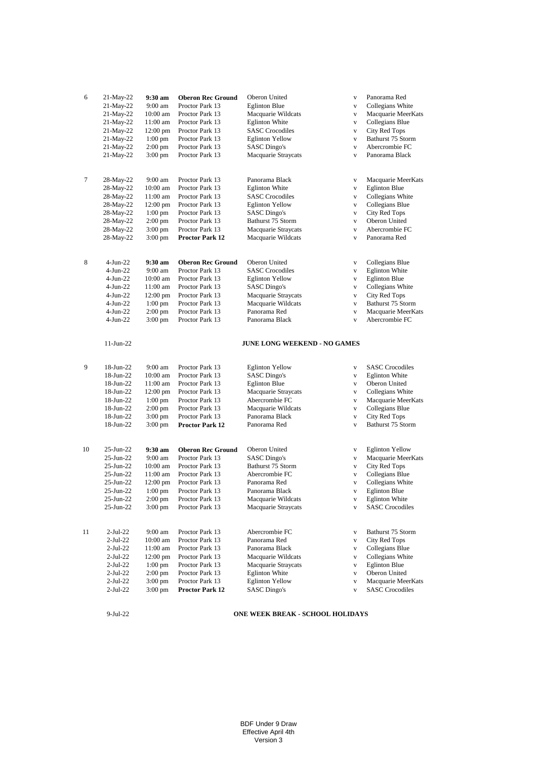| 6  | 21-May-22                                                                                                     | $9:30$ am                                                                                                             | <b>Oberon Rec Ground</b>                                                                                                                                      | Oberon United                                                                                                                                                                                                  | $\mathbf{V}$                                                                                                                | Panorama Red                                                                                                                                                              |
|----|---------------------------------------------------------------------------------------------------------------|-----------------------------------------------------------------------------------------------------------------------|---------------------------------------------------------------------------------------------------------------------------------------------------------------|----------------------------------------------------------------------------------------------------------------------------------------------------------------------------------------------------------------|-----------------------------------------------------------------------------------------------------------------------------|---------------------------------------------------------------------------------------------------------------------------------------------------------------------------|
|    | 21-May-22                                                                                                     | 9:00 am                                                                                                               | Proctor Park 13                                                                                                                                               | <b>Eglinton Blue</b>                                                                                                                                                                                           | $\mathbf{V}$                                                                                                                | Collegians White                                                                                                                                                          |
|    | 21-May-22                                                                                                     | $10:00$ am                                                                                                            | Proctor Park 13                                                                                                                                               | Macquarie Wildcats                                                                                                                                                                                             | $\mathbf{V}$                                                                                                                | Macquarie MeerKats                                                                                                                                                        |
|    | $21$ -May-22                                                                                                  | $11:00$ am                                                                                                            | Proctor Park 13                                                                                                                                               | <b>Eglinton White</b>                                                                                                                                                                                          | $\mathbf{V}$                                                                                                                | Collegians Blue                                                                                                                                                           |
|    | 21-May-22                                                                                                     | $12:00$ pm                                                                                                            | Proctor Park 13                                                                                                                                               | <b>SASC</b> Crocodiles                                                                                                                                                                                         | $\mathbf{V}$                                                                                                                | City Red Tops                                                                                                                                                             |
|    | 21-May-22                                                                                                     | $1:00$ pm                                                                                                             | Proctor Park 13                                                                                                                                               | <b>Eglinton Yellow</b>                                                                                                                                                                                         | $\mathbf{V}$                                                                                                                | Bathurst 75 Storm                                                                                                                                                         |
|    | 21-May-22                                                                                                     | $2:00$ pm                                                                                                             | Proctor Park 13                                                                                                                                               | <b>SASC Dingo's</b>                                                                                                                                                                                            | $\mathbf{V}$                                                                                                                | Abercrombie FC                                                                                                                                                            |
|    | 21-May-22                                                                                                     | 3:00 pm                                                                                                               | Proctor Park 13                                                                                                                                               | Macquarie Straycats                                                                                                                                                                                            | $\mathbf{V}$                                                                                                                | Panorama Black                                                                                                                                                            |
| 7  | 28-May-22                                                                                                     | 9:00 am                                                                                                               | Proctor Park 13                                                                                                                                               | Panorama Black                                                                                                                                                                                                 | $\mathbf{V}$                                                                                                                | Macquarie MeerKats                                                                                                                                                        |
|    | 28-May-22                                                                                                     | 10:00 am                                                                                                              | Proctor Park 13                                                                                                                                               | <b>Eglinton White</b>                                                                                                                                                                                          | $\mathbf{V}$                                                                                                                | <b>Eglinton Blue</b>                                                                                                                                                      |
|    | 28-May-22                                                                                                     | 11:00 am                                                                                                              | Proctor Park 13                                                                                                                                               | <b>SASC Crocodiles</b>                                                                                                                                                                                         | $\mathbf{V}$                                                                                                                | Collegians White                                                                                                                                                          |
|    | 28-May-22                                                                                                     | $12:00 \text{ pm}$                                                                                                    | Proctor Park 13                                                                                                                                               | <b>Eglinton Yellow</b>                                                                                                                                                                                         | $\mathbf{V}$                                                                                                                | Collegians Blue                                                                                                                                                           |
|    | 28-May-22                                                                                                     | $1:00$ pm                                                                                                             | Proctor Park 13                                                                                                                                               | <b>SASC</b> Dingo's                                                                                                                                                                                            | $\mathbf{V}$                                                                                                                | City Red Tops                                                                                                                                                             |
|    | 28-May-22                                                                                                     | $2:00$ pm                                                                                                             | Proctor Park 13                                                                                                                                               | Bathurst 75 Storm                                                                                                                                                                                              | $\mathbf{V}$                                                                                                                | Oberon United                                                                                                                                                             |
|    | 28-May-22                                                                                                     | $3:00 \text{ pm}$                                                                                                     | Proctor Park 13                                                                                                                                               | Macquarie Straycats                                                                                                                                                                                            | $\mathbf{V}$                                                                                                                | Abercrombie FC                                                                                                                                                            |
|    | 28-May-22                                                                                                     | $3:00 \text{ pm}$                                                                                                     | <b>Proctor Park 12</b>                                                                                                                                        | Macquarie Wildcats                                                                                                                                                                                             | $\mathbf{V}$                                                                                                                | Panorama Red                                                                                                                                                              |
| 8  | 4-Jun-22<br>$4-Jun-22$<br>$4-Jun-22$<br>4-Jun-22<br>4-Jun-22<br>4-Jun-22<br>4-Jun-22<br>4-Jun-22<br>11-Jun-22 | $9:30$ am<br>$9:00 \text{ am}$<br>$10:00$ am<br>11:00 am<br>$12:00$ pm<br>$1:00$ pm<br>$2:00$ pm<br>$3:00 \text{ pm}$ | <b>Oberon Rec Ground</b><br>Proctor Park 13<br>Proctor Park 13<br>Proctor Park 13<br>Proctor Park 13<br>Proctor Park 13<br>Proctor Park 13<br>Proctor Park 13 | Oberon United<br><b>SASC Crocodiles</b><br><b>Eglinton Yellow</b><br><b>SASC Dingo's</b><br>Macquarie Straycats<br>Macquarie Wildcats<br>Panorama Red<br>Panorama Black<br><b>JUNE LONG WEEKEND - NO GAMES</b> | $\mathbf{V}$<br>$\mathbf{V}$<br>$\mathbf{V}$<br>$\mathbf V$<br>$\mathbf{V}$<br>$\mathbf{V}$<br>$\mathbf{V}$<br>$\mathbf{V}$ | Collegians Blue<br><b>Eglinton White</b><br><b>Eglinton Blue</b><br>Collegians White<br><b>City Red Tops</b><br>Bathurst 75 Storm<br>Macquarie MeerKats<br>Abercrombie FC |
| 9  | 18-Jun-22                                                                                                     | 9:00 am                                                                                                               | Proctor Park 13                                                                                                                                               | <b>Eglinton Yellow</b>                                                                                                                                                                                         | $\mathbf{V}$                                                                                                                | <b>SASC Crocodiles</b>                                                                                                                                                    |
|    | 18-Jun-22                                                                                                     | $10:00$ am                                                                                                            | Proctor Park 13                                                                                                                                               | <b>SASC Dingo's</b>                                                                                                                                                                                            | $\mathbf{V}$                                                                                                                | <b>Eglinton White</b>                                                                                                                                                     |
|    | 18-Jun-22                                                                                                     | 11:00 am                                                                                                              | Proctor Park 13                                                                                                                                               | <b>Eglinton Blue</b>                                                                                                                                                                                           | $\mathbf{V}$                                                                                                                | Oberon United                                                                                                                                                             |
|    | 18-Jun-22                                                                                                     | $12:00 \text{ pm}$                                                                                                    | Proctor Park 13                                                                                                                                               | Macquarie Straycats                                                                                                                                                                                            | $\mathbf{V}$                                                                                                                | Collegians White                                                                                                                                                          |
|    | 18-Jun-22                                                                                                     | $1:00$ pm                                                                                                             | Proctor Park 13                                                                                                                                               | Abercrombie FC                                                                                                                                                                                                 | $\mathbf{V}$                                                                                                                | Macquarie MeerKats                                                                                                                                                        |
|    | 18-Jun-22                                                                                                     | $2:00$ pm                                                                                                             | Proctor Park 13                                                                                                                                               | Macquarie Wildcats                                                                                                                                                                                             | $\mathbf{V}$                                                                                                                | Collegians Blue                                                                                                                                                           |
|    | 18-Jun-22                                                                                                     | 3:00 pm                                                                                                               | Proctor Park 13                                                                                                                                               | Panorama Black                                                                                                                                                                                                 | $\mathbf{V}$                                                                                                                | <b>City Red Tops</b>                                                                                                                                                      |
|    | 18-Jun-22                                                                                                     | 3:00 pm                                                                                                               | <b>Proctor Park 12</b>                                                                                                                                        | Panorama Red                                                                                                                                                                                                   | $\mathbf{V}$                                                                                                                | Bathurst 75 Storm                                                                                                                                                         |
| 10 | 25-Jun-22                                                                                                     | $9:30$ am                                                                                                             | <b>Oberon Rec Ground</b>                                                                                                                                      | Oberon United                                                                                                                                                                                                  | $\mathbf{V}$                                                                                                                | <b>Eglinton Yellow</b>                                                                                                                                                    |
|    | 25-Jun-22                                                                                                     | $9:00 \text{ am}$                                                                                                     | Proctor Park 13                                                                                                                                               | <b>SASC Dingo's</b>                                                                                                                                                                                            | $\mathbf{V}$                                                                                                                | Macquarie MeerKats                                                                                                                                                        |
|    | $25$ -Jun- $22$                                                                                               | $10:00$ am                                                                                                            | Proctor Park 13                                                                                                                                               | Bathurst 75 Storm                                                                                                                                                                                              | $\mathbf{V}$                                                                                                                | City Red Tops                                                                                                                                                             |
|    | 25-Jun-22                                                                                                     | 11:00 am                                                                                                              | Proctor Park 13                                                                                                                                               | Abercrombie FC                                                                                                                                                                                                 | $\mathbf{V}$                                                                                                                | Collegians Blue                                                                                                                                                           |
|    | 25-Jun-22                                                                                                     | $12:00$ pm                                                                                                            | Proctor Park 13                                                                                                                                               | Panorama Red                                                                                                                                                                                                   | $\mathbf{V}$                                                                                                                | Collegians White                                                                                                                                                          |
|    | 25-Jun-22                                                                                                     | $1:00$ pm                                                                                                             | Proctor Park 13                                                                                                                                               | Panorama Black                                                                                                                                                                                                 | $\mathbf{V}$                                                                                                                | <b>Eglinton Blue</b>                                                                                                                                                      |
|    | 25-Jun-22                                                                                                     | $2:00$ pm                                                                                                             | Proctor Park 13                                                                                                                                               | Macquarie Wildcats                                                                                                                                                                                             | $\mathbf{V}$                                                                                                                | <b>Eglinton White</b>                                                                                                                                                     |
|    | 25-Jun-22                                                                                                     | $3:00 \text{ pm}$                                                                                                     | Proctor Park 13                                                                                                                                               | Macquarie Straycats                                                                                                                                                                                            | $\mathbf{V}$                                                                                                                | <b>SASC Crocodiles</b>                                                                                                                                                    |
| 11 | $2-Jul-22$                                                                                                    | 9:00 am                                                                                                               | Proctor Park 13                                                                                                                                               | Abercrombie FC                                                                                                                                                                                                 | $\mathbf{V}$                                                                                                                | Bathurst 75 Storm                                                                                                                                                         |
|    | 2-Jul-22                                                                                                      | $10:00$ am                                                                                                            | Proctor Park 13                                                                                                                                               | Panorama Red                                                                                                                                                                                                   | $\mathbf{V}$                                                                                                                | City Red Tops                                                                                                                                                             |
|    | 2-Jul-22                                                                                                      | 11:00 am                                                                                                              | Proctor Park 13                                                                                                                                               | Panorama Black                                                                                                                                                                                                 | $\mathbf{V}$                                                                                                                | Collegians Blue                                                                                                                                                           |
|    | 2-Jul-22                                                                                                      | $12:00 \text{ pm}$                                                                                                    | Proctor Park 13                                                                                                                                               | Macquarie Wildcats                                                                                                                                                                                             | $\mathbf{V}$                                                                                                                | Collegians White                                                                                                                                                          |
|    | 2-Jul-22                                                                                                      | $1:00$ pm                                                                                                             | Proctor Park 13                                                                                                                                               | Macquarie Straycats                                                                                                                                                                                            | $\mathbf{V}$                                                                                                                | <b>Eglinton Blue</b>                                                                                                                                                      |
|    | 2-Jul-22                                                                                                      | $2:00 \text{ pm}$                                                                                                     | Proctor Park 13                                                                                                                                               | <b>Eglinton White</b>                                                                                                                                                                                          | $\mathbf{V}$                                                                                                                | Oberon United                                                                                                                                                             |
|    | 2-Jul-22                                                                                                      | $3:00 \text{ pm}$                                                                                                     | Proctor Park 13                                                                                                                                               | <b>Eglinton Yellow</b>                                                                                                                                                                                         | $\mathbf{V}$                                                                                                                | Macquarie MeerKats                                                                                                                                                        |
|    | 2-Jul-22                                                                                                      | 3:00 pm                                                                                                               | Proctor Park 12                                                                                                                                               | <b>SASC</b> Dingo's                                                                                                                                                                                            | $\mathbf{V}$                                                                                                                | <b>SASC</b> Crocodiles                                                                                                                                                    |

9-Jul-22 **ONE WEEK BREAK - SCHOOL HOLIDAYS**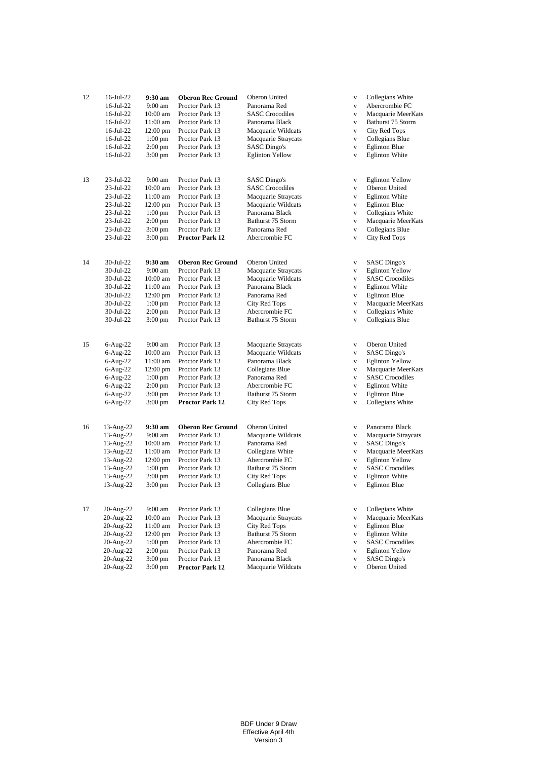| 12 | 16-Jul-22    | 9:30 am            | <b>Oberon Rec Ground</b> | Oberon United          | V            | Collegians White       |
|----|--------------|--------------------|--------------------------|------------------------|--------------|------------------------|
|    | $16$ -Jul-22 | $9:00$ am          | Proctor Park 13          | Panorama Red           | $\mathbf{V}$ | Abercrombie FC         |
|    | 16-Jul-22    | $10:00$ am         | Proctor Park 13          | <b>SASC</b> Crocodiles | $\mathbf V$  | Macquarie MeerKats     |
|    | 16-Jul-22    | 11:00 am           | Proctor Park 13          | Panorama Black         | $\mathbf{V}$ | Bathurst 75 Storm      |
|    | 16-Jul-22    | $12:00 \text{ pm}$ | Proctor Park 13          | Macquarie Wildcats     | $\mathbf{V}$ | City Red Tops          |
|    | $16$ -Jul-22 | $1:00$ pm          | Proctor Park 13          | Macquarie Straycats    | $\mathbf V$  | Collegians Blue        |
|    | 16-Jul-22    | $2:00$ pm          | Proctor Park 13          | <b>SASC Dingo's</b>    | $\mathbf{V}$ | <b>Eglinton Blue</b>   |
|    | 16-Jul-22    | $3:00 \text{ pm}$  | Proctor Park 13          | <b>Eglinton Yellow</b> | $\mathbf{V}$ | <b>Eglinton White</b>  |
| 13 | 23-Jul-22    | 9:00 am            | Proctor Park 13          | SASC Dingo's           | $\mathbf V$  | <b>Eglinton Yellow</b> |
|    | 23-Jul-22    | $10:00$ am         | Proctor Park 13          | <b>SASC</b> Crocodiles | $\mathbf{V}$ | Oberon United          |
|    | 23-Jul-22    | $11:00$ am         | Proctor Park 13          | Macquarie Straycats    | $\mathbf{V}$ | <b>Eglinton White</b>  |
|    | 23-Jul-22    | $12:00 \text{ pm}$ | Proctor Park 13          | Macquarie Wildcats     | V            | <b>Eglinton Blue</b>   |
|    | 23-Jul-22    | $1:00$ pm          | Proctor Park 13          | Panorama Black         | $\mathbf{V}$ | Collegians White       |
|    | 23-Jul-22    | $2:00$ pm          | Proctor Park 13          | Bathurst 75 Storm      | $\mathbf{V}$ | Macquarie MeerKats     |
|    | 23-Jul-22    | 3:00 pm            | Proctor Park 13          | Panorama Red           | $\mathbf{V}$ | Collegians Blue        |
|    | 23-Jul-22    | 3:00 pm            | <b>Proctor Park 12</b>   | Abercrombie FC         | $\mathbf{V}$ | City Red Tops          |
| 14 | 30-Jul-22    | 9:30 am            | <b>Oberon Rec Ground</b> | Oberon United          | $\mathbf V$  | SASC Dingo's           |
|    | 30-Jul-22    | 9:00 am            | Proctor Park 13          | Macquarie Straycats    | V            | <b>Eglinton Yellow</b> |
|    | 30-Jul-22    | $10:00$ am         | Proctor Park 13          | Macquarie Wildcats     | V            | <b>SASC Crocodiles</b> |
|    | 30-Jul-22    | 11:00 am           | Proctor Park 13          | Panorama Black         | V            | <b>Eglinton White</b>  |
|    | 30-Jul-22    | $12:00$ pm         | Proctor Park 13          | Panorama Red           | $\mathbf{V}$ | <b>Eglinton Blue</b>   |
|    | 30-Jul-22    | $1:00$ pm          | Proctor Park 13          | City Red Tops          | $\mathbf{V}$ | Macquarie MeerKats     |
|    | 30-Jul-22    | $2:00$ pm          | Proctor Park 13          | Abercrombie FC         | $\mathbf{V}$ | Collegians White       |
|    | 30-Jul-22    | $3:00 \text{ pm}$  | Proctor Park 13          | Bathurst 75 Storm      | $\mathbf{V}$ | Collegians Blue        |
| 15 | $6-Aug-22$   | 9:00 am            | Proctor Park 13          | Macquarie Straycats    | $\mathbf{V}$ | Oberon United          |
|    | $6-Aug-22$   | $10:00$ am         | Proctor Park 13          | Macquarie Wildcats     | $\mathbf V$  | SASC Dingo's           |
|    | $6-Aug-22$   | 11:00 am           | Proctor Park 13          | Panorama Black         | V            | <b>Eglinton Yellow</b> |
|    | $6-Aug-22$   | $12:00 \text{ pm}$ | Proctor Park 13          | Collegians Blue        | $\mathbf{V}$ | Macquarie MeerKats     |
|    | $6-Aug-22$   | $1:00$ pm          | Proctor Park 13          | Panorama Red           | V            | <b>SASC</b> Crocodiles |
|    | $6-Aug-22$   | $2:00$ pm          | Proctor Park 13          | Abercrombie FC         | $\mathbf{V}$ | <b>Eglinton White</b>  |
|    | $6-Aug-22$   | $3:00$ pm          | Proctor Park 13          | Bathurst 75 Storm      | $\mathbf{V}$ | <b>Eglinton Blue</b>   |
|    | $6-Aug-22$   | $3:00 \text{ pm}$  | <b>Proctor Park 12</b>   | City Red Tops          | $\mathbf{V}$ | Collegians White       |
| 16 | 13-Aug-22    | 9:30 am            | <b>Oberon Rec Ground</b> | Oberon United          | V            | Panorama Black         |
|    | 13-Aug-22    | $9:00$ am          | Proctor Park 13          | Macquarie Wildcats     | V            | Macquarie Straycats    |
|    | 13-Aug-22    | $10:00$ am         | Proctor Park 13          | Panorama Red           | V            | <b>SASC Dingo's</b>    |
|    | 13-Aug-22    | 11:00 am           | Proctor Park 13          | Collegians White       | $\mathbf V$  | Macquarie MeerKats     |
|    | 13-Aug-22    | 12:00 pm           | Proctor Park 13          | Abercrombie FC         | $\mathbf V$  | <b>Eglinton Yellow</b> |
|    | 13-Aug-22    | $1:00$ pm          | Proctor Park 13          | Bathurst 75 Storm      | $\mathbf{V}$ | <b>SASC Crocodiles</b> |
|    | 13-Aug-22    | $2:00$ pm          | Proctor Park 13          | City Red Tops          | $\mathbf{V}$ | <b>Eglinton White</b>  |
|    | 13-Aug-22    | 3:00 pm            | Proctor Park 13          | Collegians Blue        | V            | <b>Eglinton Blue</b>   |
| 17 | 20-Aug-22    | 9:00 am            | Proctor Park 13          | Collegians Blue        | V            | Collegians White       |
|    | 20-Aug-22    | $10:00$ am         | Proctor Park 13          | Macquarie Straycats    | $\mathbf{V}$ | Macquarie MeerKats     |
|    | 20-Aug-22    | 11:00 am           | Proctor Park 13          | City Red Tops          | V            | <b>Eglinton Blue</b>   |
|    | 20-Aug-22    | $12:00 \text{ pm}$ | Proctor Park 13          | Bathurst 75 Storm      | V            | <b>Eglinton White</b>  |
|    | 20-Aug-22    | $1:00 \text{ pm}$  | Proctor Park 13          | Abercrombie FC         | $\mathbf{V}$ | <b>SASC</b> Crocodiles |
|    | 20-Aug-22    | 2:00 pm            | Proctor Park 13          | Panorama Red           | V            | <b>Eglinton Yellow</b> |
|    | 20-Aug-22    | $3:00 \text{ pm}$  | Proctor Park 13          | Panorama Black         | $\mathbf V$  | <b>SASC Dingo's</b>    |
|    | 20-Aug-22    | $3:00 \text{ pm}$  | <b>Proctor Park 12</b>   | Macquarie Wildcats     | $\mathbf{V}$ | Oberon United          |